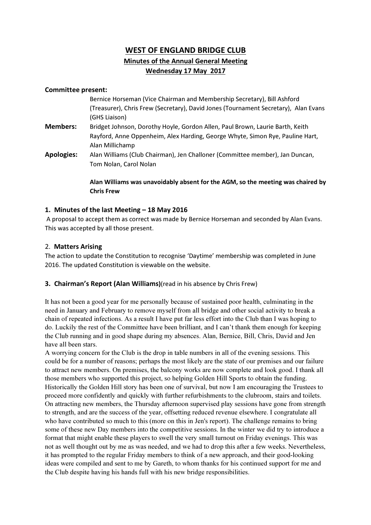## WEST OF ENGLAND BRIDGE CLUB Minutes of the Annual General Meeting Wednesday 17 May 2017

#### Committee present:

|                   | Bernice Horseman (Vice Chairman and Membership Secretary), Bill Ashford             |
|-------------------|-------------------------------------------------------------------------------------|
|                   | (Treasurer), Chris Frew (Secretary), David Jones (Tournament Secretary), Alan Evans |
|                   | (GHS Liaison)                                                                       |
| <b>Members:</b>   | Bridget Johnson, Dorothy Hoyle, Gordon Allen, Paul Brown, Laurie Barth, Keith       |
|                   | Rayford, Anne Oppenheim, Alex Harding, George Whyte, Simon Rye, Pauline Hart,       |
|                   | Alan Millichamp                                                                     |
| <b>Apologies:</b> | Alan Williams (Club Chairman), Jen Challoner (Committee member), Jan Duncan,        |
|                   | Tom Nolan, Carol Nolan                                                              |
|                   | Alan Williams was unavoidably absent for the AGM, so the meeting was chaired by     |

# 1. Minutes of the last Meeting – 18 May 2016

Chris Frew

 A proposal to accept them as correct was made by Bernice Horseman and seconded by Alan Evans. This was accepted by all those present.

### 2. Matters Arising

The action to update the Constitution to recognise 'Daytime' membership was completed in June 2016. The updated Constitution is viewable on the website.

#### 3. Chairman's Report (Alan Williams)(read in his absence by Chris Frew)

It has not been a good year for me personally because of sustained poor health, culminating in the need in January and February to remove myself from all bridge and other social activity to break a chain of repeated infections. As a result I have put far less effort into the Club than I was hoping to do. Luckily the rest of the Committee have been brilliant, and I can't thank them enough for keeping the Club running and in good shape during my absences. Alan, Bernice, Bill, Chris, David and Jen have all been stars.

A worrying concern for the Club is the drop in table numbers in all of the evening sessions. This could be for a number of reasons; perhaps the most likely are the state of our premises and our failure to attract new members. On premises, the balcony works are now complete and look good. I thank all those members who supported this project, so helping Golden Hill Sports to obtain the funding. Historically the Golden Hill story has been one of survival, but now I am encouraging the Trustees to proceed more confidently and quickly with further refurbishments to the clubroom, stairs and toilets. On attracting new members, the Thursday afternoon supervised play sessions have gone from strength to strength, and are the success of the year, offsetting reduced revenue elsewhere. I congratulate all who have contributed so much to this (more on this in Jen's report). The challenge remains to bring some of these new Day members into the competitive sessions. In the winter we did try to introduce a format that might enable these players to swell the very small turnout on Friday evenings. This was not as well thought out by me as was needed, and we had to drop this after a few weeks. Nevertheless, it has prompted to the regular Friday members to think of a new approach, and their good-looking ideas were compiled and sent to me by Gareth, to whom thanks for his continued support for me and the Club despite having his hands full with his new bridge responsibilities.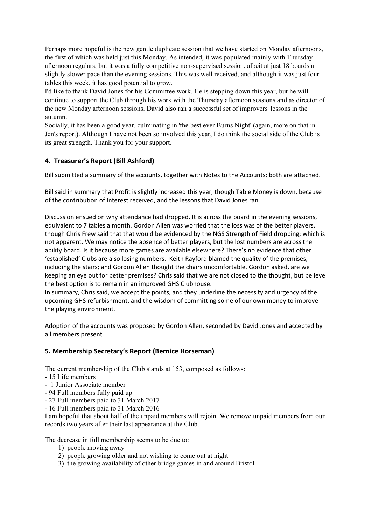Perhaps more hopeful is the new gentle duplicate session that we have started on Monday afternoons, the first of which was held just this Monday. As intended, it was populated mainly with Thursday afternoon regulars, but it was a fully competitive non-supervised session, albeit at just 18 boards a slightly slower pace than the evening sessions. This was well received, and although it was just four tables this week, it has good potential to grow.

I'd like to thank David Jones for his Committee work. He is stepping down this year, but he will continue to support the Club through his work with the Thursday afternoon sessions and as director of the new Monday afternoon sessions. David also ran a successful set of improvers' lessons in the autumn.

Socially, it has been a good year, culminating in 'the best ever Burns Night' (again, more on that in Jen's report). Although I have not been so involved this year, I do think the social side of the Club is its great strength. Thank you for your support.

## 4. Treasurer's Report (Bill Ashford)

Bill submitted a summary of the accounts, together with Notes to the Accounts; both are attached.

Bill said in summary that Profit is slightly increased this year, though Table Money is down, because of the contribution of Interest received, and the lessons that David Jones ran.

Discussion ensued on why attendance had dropped. It is across the board in the evening sessions, equivalent to 7 tables a month. Gordon Allen was worried that the loss was of the better players, though Chris Frew said that that would be evidenced by the NGS Strength of Field dropping; which is not apparent. We may notice the absence of better players, but the lost numbers are across the ability board. Is it because more games are available elsewhere? There's no evidence that other 'established' Clubs are also losing numbers. Keith Rayford blamed the quality of the premises, including the stairs; and Gordon Allen thought the chairs uncomfortable. Gordon asked, are we keeping an eye out for better premises? Chris said that we are not closed to the thought, but believe the best option is to remain in an improved GHS Clubhouse.

In summary, Chris said, we accept the points, and they underline the necessity and urgency of the upcoming GHS refurbishment, and the wisdom of committing some of our own money to improve the playing environment.

Adoption of the accounts was proposed by Gordon Allen, seconded by David Jones and accepted by all members present.

## 5. Membership Secretary's Report (Bernice Horseman)

The current membership of the Club stands at 153, composed as follows:

- 15 Life members
- 1 Junior Associate member
- 94 Full members fully paid up
- 27 Full members paid to 31 March 2017
- 16 Full members paid to 31 March 2016

I am hopeful that about half of the unpaid members will rejoin. We remove unpaid members from our records two years after their last appearance at the Club.

The decrease in full membership seems to be due to:

- 1) people moving away
- 2) people growing older and not wishing to come out at night
- 3) the growing availability of other bridge games in and around Bristol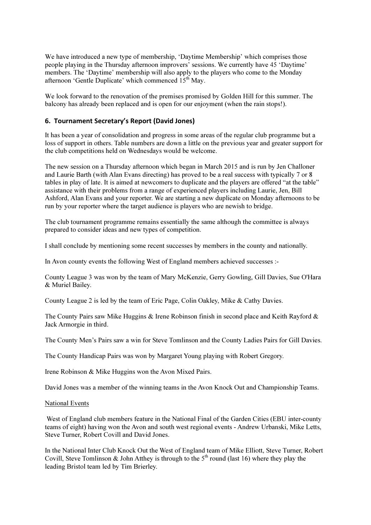We have introduced a new type of membership, 'Daytime Membership' which comprises those people playing in the Thursday afternoon improvers' sessions. We currently have 45 'Daytime' members. The 'Daytime' membership will also apply to the players who come to the Monday afternoon 'Gentle Duplicate' which commenced  $15<sup>th</sup>$  May.

We look forward to the renovation of the premises promised by Golden Hill for this summer. The balcony has already been replaced and is open for our enjoyment (when the rain stops!).

#### 6. Tournament Secretary's Report (David Jones)

It has been a year of consolidation and progress in some areas of the regular club programme but a loss of support in others. Table numbers are down a little on the previous year and greater support for the club competitions held on Wednesdays would be welcome.

The new session on a Thursday afternoon which began in March 2015 and is run by Jen Challoner and Laurie Barth (with Alan Evans directing) has proved to be a real success with typically 7 or 8 tables in play of late. It is aimed at newcomers to duplicate and the players are offered "at the table" assistance with their problems from a range of experienced players including Laurie, Jen, Bill Ashford, Alan Evans and your reporter. We are starting a new duplicate on Monday afternoons to be run by your reporter where the target audience is players who are newish to bridge.

The club tournament programme remains essentially the same although the committee is always prepared to consider ideas and new types of competition.

I shall conclude by mentioning some recent successes by members in the county and nationally.

In Avon county events the following West of England members achieved successes :-

County League 3 was won by the team of Mary McKenzie, Gerry Gowling, Gill Davies, Sue O'Hara & Muriel Bailey.

County League 2 is led by the team of Eric Page, Colin Oakley, Mike & Cathy Davies.

The County Pairs saw Mike Huggins & Irene Robinson finish in second place and Keith Rayford & Jack Armorgie in third.

The County Men's Pairs saw a win for Steve Tomlinson and the County Ladies Pairs for Gill Davies.

The County Handicap Pairs was won by Margaret Young playing with Robert Gregory.

Irene Robinson & Mike Huggins won the Avon Mixed Pairs.

David Jones was a member of the winning teams in the Avon Knock Out and Championship Teams.

#### National Events

 West of England club members feature in the National Final of the Garden Cities (EBU inter-county teams of eight) having won the Avon and south west regional events - Andrew Urbanski, Mike Letts, Steve Turner, Robert Covill and David Jones.

In the National Inter Club Knock Out the West of England team of Mike Elliott, Steve Turner, Robert Covill, Steve Tomlinson & John Atthey is through to the  $5<sup>th</sup>$  round (last 16) where they play the leading Bristol team led by Tim Brierley.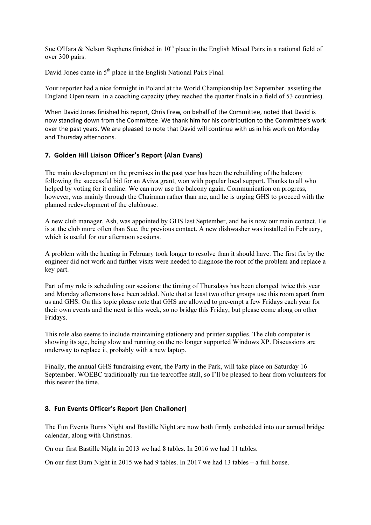Sue O'Hara & Nelson Stephens finished in  $10<sup>th</sup>$  place in the English Mixed Pairs in a national field of over 300 pairs.

David Jones came in  $5<sup>th</sup>$  place in the English National Pairs Final.

Your reporter had a nice fortnight in Poland at the World Championship last September assisting the England Open team in a coaching capacity (they reached the quarter finals in a field of 53 countries).

When David Jones finished his report, Chris Frew, on behalf of the Committee, noted that David is now standing down from the Committee. We thank him for his contribution to the Committee's work over the past years. We are pleased to note that David will continue with us in his work on Monday and Thursday afternoons.

#### 7. Golden Hill Liaison Officer's Report (Alan Evans)

The main development on the premises in the past year has been the rebuilding of the balcony following the successful bid for an Aviva grant, won with popular local support. Thanks to all who helped by voting for it online. We can now use the balcony again. Communication on progress, however, was mainly through the Chairman rather than me, and he is urging GHS to proceed with the planned redevelopment of the clubhouse.

A new club manager, Ash, was appointed by GHS last September, and he is now our main contact. He is at the club more often than Sue, the previous contact. A new dishwasher was installed in February, which is useful for our afternoon sessions.

A problem with the heating in February took longer to resolve than it should have. The first fix by the engineer did not work and further visits were needed to diagnose the root of the problem and replace a key part.

Part of my role is scheduling our sessions: the timing of Thursdays has been changed twice this year and Monday afternoons have been added. Note that at least two other groups use this room apart from us and GHS. On this topic please note that GHS are allowed to pre-empt a few Fridays each year for their own events and the next is this week, so no bridge this Friday, but please come along on other Fridays.

This role also seems to include maintaining stationery and printer supplies. The club computer is showing its age, being slow and running on the no longer supported Windows XP. Discussions are underway to replace it, probably with a new laptop.

Finally, the annual GHS fundraising event, the Party in the Park, will take place on Saturday 16 September. WOEBC traditionally run the tea/coffee stall, so I'll be pleased to hear from volunteers for this nearer the time.

#### 8. Fun Events Officer's Report (Jen Challoner)

The Fun Events Burns Night and Bastille Night are now both firmly embedded into our annual bridge calendar, along with Christmas.

On our first Bastille Night in 2013 we had 8 tables. In 2016 we had 11 tables.

On our first Burn Night in 2015 we had 9 tables. In 2017 we had 13 tables – a full house.